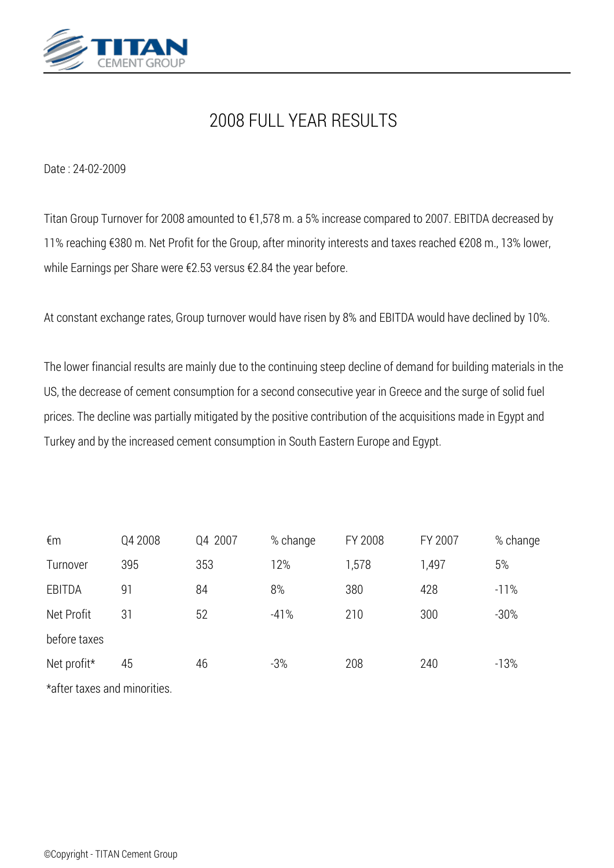

# *2008 FULL YEAR RESULTS*

*Date : 24-02-2009*

*Titan Group Turnover for 2008 amounted to €1,578 m. a 5% increase compared to 2007. EBITDA decreased by 11% reaching €380 m. Net Profit for the Group, after minority interests and taxes reached €208 m., 13% lower, while Earnings per Share were €2.53 versus €2.84 the year before.*

*At constant exchange rates, Group turnover would have risen by 8% and EBITDA would have declined by 10%.*

*The lower financial results are mainly due to the continuing steep decline of demand for building materials in the US, the decrease of cement consumption for a second consecutive year in Greece and the surge of solid fuel prices. The decline was partially mitigated by the positive contribution of the acquisitions made in Egypt and Turkey and by the increased cement consumption in South Eastern Europe and Egypt.*

| €m           | Q4 2008 | Q4 2007 | % change | FY 2008 | FY 2007 | % change |
|--------------|---------|---------|----------|---------|---------|----------|
| Turnover     | 395     | 353     | 12%      | 1,578   | 1,497   | 5%       |
| EBITDA       | 91      | 84      | 8%       | 380     | 428     | $-11%$   |
| Net Profit   | 31      | 52      | $-41%$   | 210     | 300     | $-30%$   |
| before taxes |         |         |          |         |         |          |
| Net profit*  | 45      | 46      | $-3%$    | 208     | 240     | $-13%$   |

*\*after taxes and minorities.*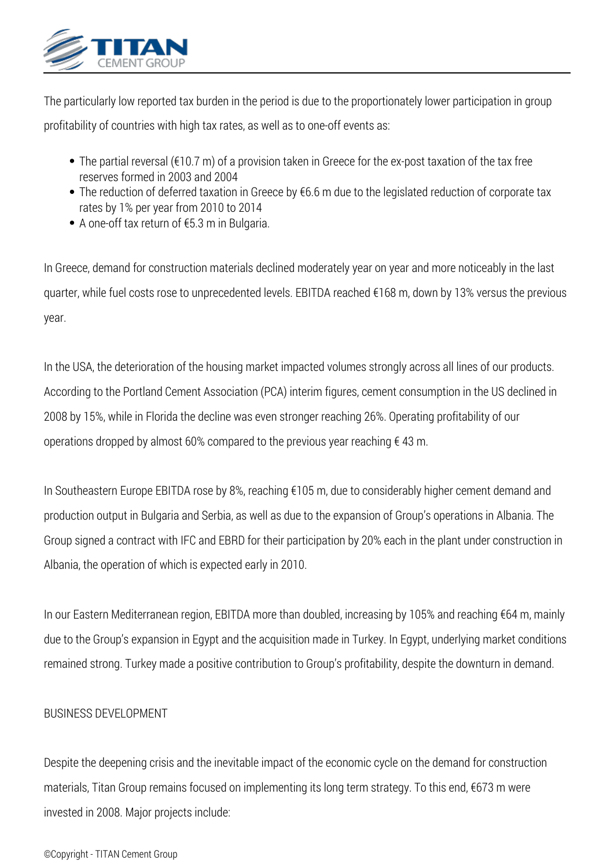

*The particularly low reported tax burden in the period is due to the proportionately lower participation in group profitability of countries with high tax rates, as well as to one-off events as:*

- *The partial reversal (€10.7 m) of a provision taken in Greece for the ex-post taxation of the tax free reserves formed in 2003 and 2004*
- *The reduction of deferred taxation in Greece by €6.6 m due to the legislated reduction of corporate tax rates by 1% per year from 2010 to 2014*
- *A one-off tax return of €5.3 m in Bulgaria.*

*In Greece, demand for construction materials declined moderately year on year and more noticeably in the last quarter, while fuel costs rose to unprecedented levels. EBITDA reached €168 m, down by 13% versus the previous year.*

*In the USA, the deterioration of the housing market impacted volumes strongly across all lines of our products. According to the Portland Cement Association (PCA) interim figures, cement consumption in the US declined in 2008 by 15%, while in Florida the decline was even stronger reaching 26%. Operating profitability of our operations dropped by almost 60% compared to the previous year reaching € 43 m.*

*In Southeastern Europe EBITDA rose by 8%, reaching €105 m, due to considerably higher cement demand and production output in Bulgaria and Serbia, as well as due to the expansion of Group's operations in Albania. The Group signed a contract with IFC and EBRD for their participation by 20% each in the plant under construction in Albania, the operation of which is expected early in 2010.*

*In our Eastern Mediterranean region, EBITDA more than doubled, increasing by 105% and reaching €64 m, mainly due to the Group's expansion in Egypt and the acquisition made in Turkey. In Egypt, underlying market conditions remained strong. Turkey made a positive contribution to Group's profitability, despite the downturn in demand.*

## *BUSINESS DEVELOPMENT*

*Despite the deepening crisis and the inevitable impact of the economic cycle on the demand for construction materials, Titan Group remains focused on implementing its long term strategy. To this end, €673 m were invested in 2008. Major projects include:*

#### *©Copyright - TITAN Cement Group*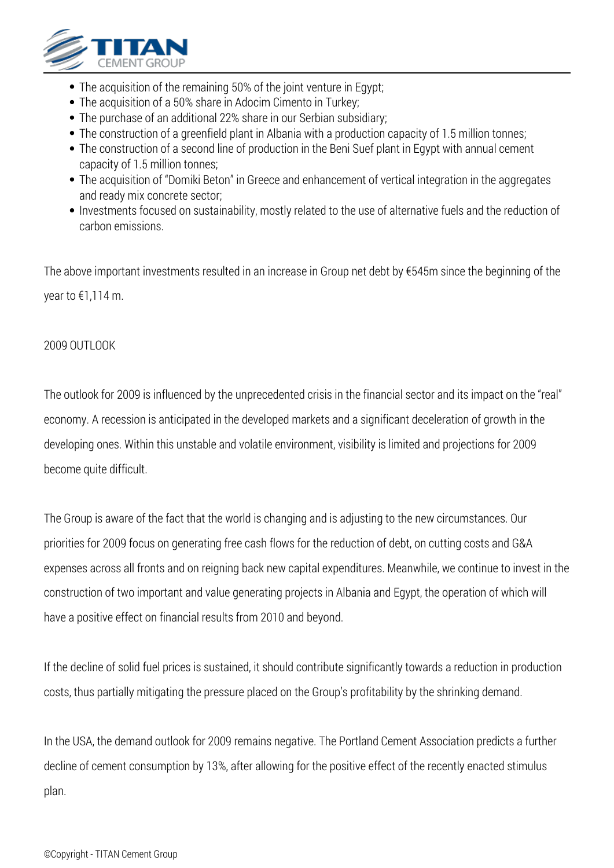

- *The acquisition of the remaining 50% of the joint venture in Egypt;*
- *The acquisition of a 50% share in Adocim Cimento in Turkey;*
- *The purchase of an additional 22% share in our Serbian subsidiary;*
- *The construction of a greenfield plant in Albania with a production capacity of 1.5 million tonnes;*
- *The construction of a second line of production in the Beni Suef plant in Egypt with annual cement capacity of 1.5 million tonnes;*
- *The acquisition of "Domiki Beton" in Greece and enhancement of vertical integration in the aggregates and ready mix concrete sector;*
- *Investments focused on sustainability, mostly related to the use of alternative fuels and the reduction of carbon emissions.*

*The above important investments resulted in an increase in Group net debt by €545m since the beginning of the year to €1,114 m.*

#### *2009 OUTLOOK*

*The outlook for 2009 is influenced by the unprecedented crisis in the financial sector and its impact on the "real" economy. A recession is anticipated in the developed markets and a significant deceleration of growth in the developing ones. Within this unstable and volatile environment, visibility is limited and projections for 2009 become quite difficult.*

*The Group is aware of the fact that the world is changing and is adjusting to the new circumstances. Our priorities for 2009 focus on generating free cash flows for the reduction of debt, on cutting costs and G&A expenses across all fronts and on reigning back new capital expenditures. Meanwhile, we continue to invest in the construction of two important and value generating projects in Albania and Egypt, the operation of which will have a positive effect on financial results from 2010 and beyond.*

*If the decline of solid fuel prices is sustained, it should contribute significantly towards a reduction in production costs, thus partially mitigating the pressure placed on the Group's profitability by the shrinking demand.*

*In the USA, the demand outlook for 2009 remains negative. The Portland Cement Association predicts a further decline of cement consumption by 13%, after allowing for the positive effect of the recently enacted stimulus plan.*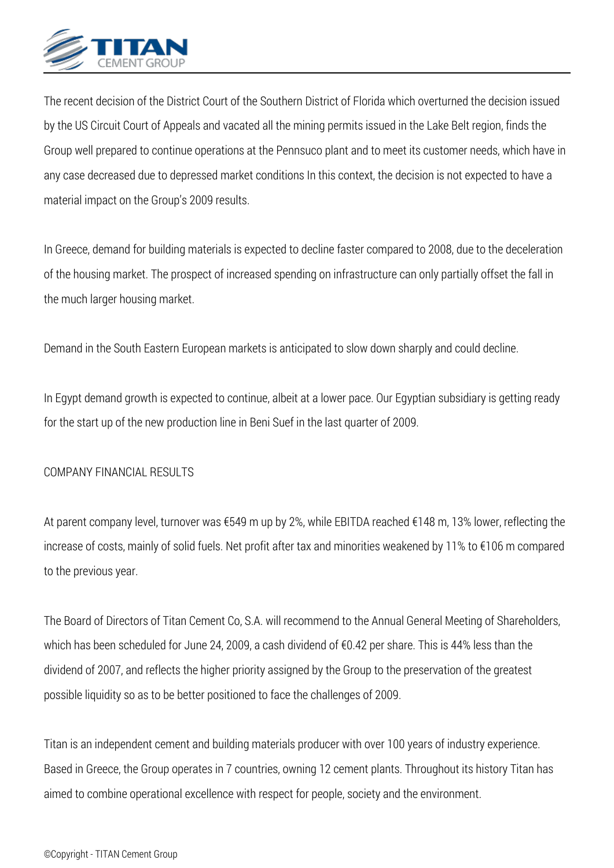

*The recent decision of the District Court of the Southern District of Florida which overturned the decision issued by the US Circuit Court of Appeals and vacated all the mining permits issued in the Lake Belt region, finds the Group well prepared to continue operations at the Pennsuco plant and to meet its customer needs, which have in any case decreased due to depressed market conditions In this context, the decision is not expected to have a material impact on the Group's 2009 results.*

*In Greece, demand for building materials is expected to decline faster compared to 2008, due to the deceleration of the housing market. The prospect of increased spending on infrastructure can only partially offset the fall in the much larger housing market.*

*Demand in the South Eastern European markets is anticipated to slow down sharply and could decline.*

*In Egypt demand growth is expected to continue, albeit at a lower pace. Our Egyptian subsidiary is getting ready for the start up of the new production line in Beni Suef in the last quarter of 2009.*

### *COMPANY FINANCIAL RESULTS*

*At parent company level, turnover was €549 m up by 2%, while EBITDA reached €148 m, 13% lower, reflecting the increase of costs, mainly of solid fuels. Net profit after tax and minorities weakened by 11% to €106 m compared to the previous year.*

*The Board of Directors of Titan Cement Co, S.A. will recommend to the Annual General Meeting of Shareholders, which has been scheduled for June 24, 2009, a cash dividend of €0.42 per share. This is 44% less than the dividend of 2007, and reflects the higher priority assigned by the Group to the preservation of the greatest possible liquidity so as to be better positioned to face the challenges of 2009.*

*Titan is an independent cement and building materials producer with over 100 years of industry experience. Based in Greece, the Group operates in 7 countries, owning 12 cement plants. Throughout its history Titan has aimed to combine operational excellence with respect for people, society and the environment.*